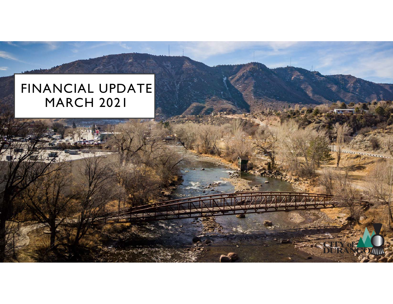# FINANCIAL UPDATE**MARCH 2021**

 $55.$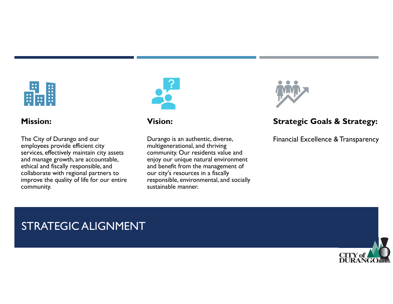

#### **Mission:**

The City of Durango and our employees provide efficient city services, effectively maintain city assets and manage growth, are accountable, ethical and fiscally responsible, and collaborate with regional partners to improve the quality of life for our entire community.



#### **Vision:**

Durango is an authentic, diverse, multigenerational, and thriving community. Our residents value and enjoy our unique natural environment and benefit from the management of our city's resources in a fiscally responsible, environmental, and socially sustainable manner.



## **Strategic Goals & Strategy:**

Financial Excellence & Transparency

# STRATEGIC ALIGNMENT

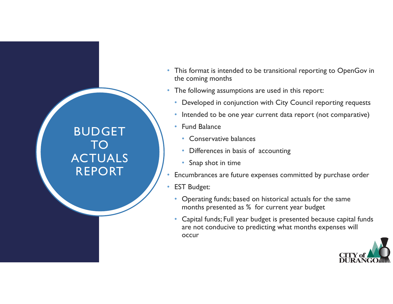# BUDGET TO ACTUALS REPORT

- This format is intended to be transitional reporting to OpenGov in the coming months
- The following assumptions are used in this report:
	- Developed in conjunction with City Council reporting requests
	- Intended to be one year current data report (not comparative)
	- Fund Balance
		- Conservative balances
		- Differences in basis of accounting
		- Snap shot in time
- •Encumbrances are future expenses committed by purchase order
- • EST Budget:
	- Operating funds; based on historical actuals for the same months presented as % for current year budget
	- Capital funds; Full year budget is presented because capital funds are not conducive to predicting what months expenses will occur

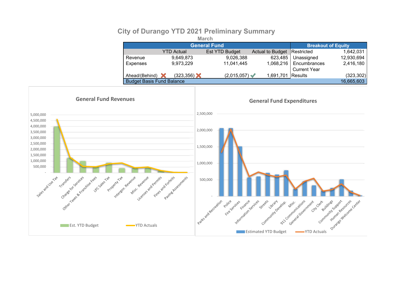#### **City of Durango YTD 2021 Preliminary Summary**

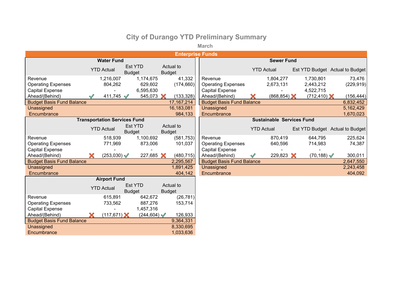### **City of Durango YTD Preliminary Summary**

**March**

| <b>Enterprise Funds</b>          |    |                                     |                                 |                           |               |              |  |                                  |                   |                       |  |                                 |  |            |
|----------------------------------|----|-------------------------------------|---------------------------------|---------------------------|---------------|--------------|--|----------------------------------|-------------------|-----------------------|--|---------------------------------|--|------------|
|                                  |    | <b>Sewer Fund</b>                   |                                 |                           |               |              |  |                                  |                   |                       |  |                                 |  |            |
|                                  |    | <b>YTD Actual</b>                   | <b>Est YTD</b><br><b>Budget</b> |                           | <b>Budget</b> | Actual to    |  |                                  |                   | <b>YTD Actual</b>     |  | Est YTD Budget Actual to Budget |  |            |
| Revenue                          |    | 1,216,007                           |                                 | 1,174,675                 |               | 41,332       |  | Revenue                          |                   | 1,804,277             |  | 1,730,801                       |  | 73,476     |
| <b>Operating Expenses</b>        |    | 804,262                             |                                 | 629,602                   |               | (174, 660)   |  | <b>Operating Expenses</b>        |                   | 2,673,131             |  | 2,443,212                       |  | (229, 919) |
| <b>Capital Expense</b>           |    |                                     |                                 | 6,595,630                 |               |              |  | <b>Capital Expense</b>           |                   |                       |  | 4,522,715                       |  |            |
| Ahead/(Behind)                   |    | 411,745                             |                                 | 545,073 X                 |               | (133, 328)   |  | Ahead/(Behind)                   |                   | $(868, 854)$ $\times$ |  | $(712, 410)$ $\times$           |  | (156, 444) |
| <b>Budget Basis Fund Balance</b> |    |                                     |                                 |                           |               | 17, 167, 214 |  | <b>Budget Basis Fund Balance</b> |                   |                       |  |                                 |  | 6,832,452  |
| Unassigned                       |    |                                     |                                 |                           |               | 16,183,081   |  | Unassigned                       |                   |                       |  |                                 |  | 5,162,429  |
| Encumbrance                      |    |                                     |                                 |                           |               | 984,133      |  | Encumbrance                      |                   |                       |  |                                 |  | 1,670,023  |
|                                  |    | <b>Transportation Services Fund</b> |                                 |                           |               |              |  | <b>Sustainable Services Fund</b> |                   |                       |  |                                 |  |            |
|                                  |    | <b>YTD Actual</b>                   | <b>Est YTD</b><br><b>Budget</b> |                           | <b>Budget</b> | Actual to    |  |                                  | <b>YTD Actual</b> |                       |  | Est YTD Budget Actual to Budget |  |            |
| Revenue                          |    | 518,939                             |                                 | 1,100,692                 |               | (581, 753)   |  | Revenue                          |                   | 870,419               |  | 644,795                         |  | 225,624    |
| <b>Operating Expenses</b>        |    | 771,969                             |                                 | 873,006                   |               | 101,037      |  | <b>Operating Expenses</b>        |                   | 640,596               |  | 714,983                         |  | 74,387     |
| <b>Capital Expense</b>           |    |                                     |                                 |                           |               |              |  | <b>Capital Expense</b>           |                   |                       |  |                                 |  |            |
| Ahead/(Behind)                   |    | $(253,030) \blacktriangleleft$      |                                 | 227,685 X                 |               | (480, 715)   |  | Ahead/(Behind)                   |                   | 229,823 $\times$      |  | $(70, 188)$ $\checkmark$        |  | 300,011    |
| <b>Budget Basis Fund Balance</b> |    |                                     |                                 |                           |               | 2,295,567    |  | <b>Budget Basis Fund Balance</b> |                   |                       |  |                                 |  | 2,647,550  |
| Unassigned                       |    |                                     |                                 |                           |               | 1,891,425    |  | Unassigned                       |                   |                       |  |                                 |  | 2,243,458  |
| Encumbrance                      |    |                                     |                                 |                           |               | 404,142      |  | Encumbrance                      |                   |                       |  |                                 |  | 404,092    |
|                                  |    | <b>Airport Fund</b>                 |                                 |                           |               |              |  |                                  |                   |                       |  |                                 |  |            |
|                                  |    | <b>YTD Actual</b>                   | <b>Est YTD</b><br><b>Budget</b> |                           | <b>Budget</b> | Actual to    |  |                                  |                   |                       |  |                                 |  |            |
| Revenue                          |    | 615,891                             |                                 | 642,672                   |               | (26, 781)    |  |                                  |                   |                       |  |                                 |  |            |
| <b>Operating Expenses</b>        |    | 733,562                             |                                 | 887,276                   |               | 153,714      |  |                                  |                   |                       |  |                                 |  |            |
| <b>Capital Expense</b>           |    |                                     |                                 | 1,457,316                 |               |              |  |                                  |                   |                       |  |                                 |  |            |
| Ahead/(Behind)                   | X. | $(117, 671)$ $\times$               |                                 | $(244, 604)$ $\checkmark$ |               | 126,933      |  |                                  |                   |                       |  |                                 |  |            |
| <b>Budget Basis Fund Balance</b> |    |                                     |                                 |                           |               | 9,364,331    |  |                                  |                   |                       |  |                                 |  |            |
| Unassigned                       |    |                                     |                                 |                           |               | 8,330,695    |  |                                  |                   |                       |  |                                 |  |            |
| Encumbrance                      |    |                                     |                                 |                           |               | 1,033,636    |  |                                  |                   |                       |  |                                 |  |            |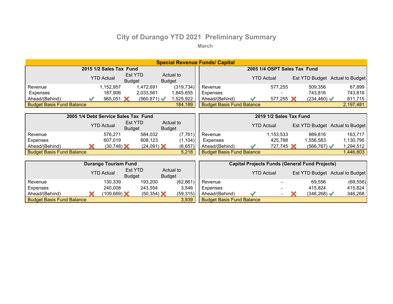## **City of Durango YTD 2021 Preliminary Summary**

**March**

| <b>Special Revenue Funds/ Capital</b> |  |                                      |                                 |                         |                            |                              |                                                       |  |                   |  |                       |                                 |  |
|---------------------------------------|--|--------------------------------------|---------------------------------|-------------------------|----------------------------|------------------------------|-------------------------------------------------------|--|-------------------|--|-----------------------|---------------------------------|--|
|                                       |  | 2015 1/2 Sales Tax Fund              |                                 |                         |                            | 2005 1/4 OSPT Sales Tax Fund |                                                       |  |                   |  |                       |                                 |  |
|                                       |  | <b>YTD Actual</b>                    | Est YTD<br><b>Budget</b>        |                         | Actual to<br><b>Budget</b> |                              |                                                       |  | <b>YTD Actual</b> |  |                       | Est YTD Budget Actual to Budget |  |
| Revenue                               |  | 1,152,957                            |                                 | 1,472,691               |                            | (319, 734)                   | Revenue                                               |  | 577,255           |  | 509,356               | 67,899                          |  |
| Expenses                              |  | 187,906                              |                                 | 2,033,561               |                            | 1,845,655                    | <b>Expenses</b>                                       |  |                   |  | 743,816               | 743,816                         |  |
| Ahead/(Behind)                        |  | 965,051 $\times$                     |                                 | $(560, 871)$ $\sqrt{2}$ |                            | 1,525,922                    | Ahead/(Behind)                                        |  | 577,255 $\chi$    |  | $(234, 460) \sqrt{ }$ | 811,715                         |  |
| <b>Budget Basis Fund Balance</b>      |  |                                      |                                 |                         |                            | 184,189                      | <b>Budget Basis Fund Balance</b>                      |  |                   |  |                       | 2,197,481                       |  |
|                                       |  |                                      |                                 |                         |                            |                              |                                                       |  |                   |  |                       |                                 |  |
|                                       |  | 2005 1/4 Debt Service Sales Tax Fund |                                 |                         |                            | 2019 1/2 Sales Tax Fund      |                                                       |  |                   |  |                       |                                 |  |
|                                       |  | <b>YTD Actual</b>                    | Est YTD<br><b>Budget</b>        |                         | Actual to<br><b>Budget</b> |                              |                                                       |  | <b>YTD Actual</b> |  |                       | Est YTD Budget Actual to Budget |  |
| Revenue                               |  | 576,271                              |                                 | 584,032                 |                            | (7, 761)                     | Revenue                                               |  | 1,153,533         |  | 989,816               | 163,717                         |  |
| Expenses                              |  | 607,019                              |                                 | 608,123                 |                            | (1, 104)                     | Expenses                                              |  | 425,788           |  | 1,556,583             | 1,130,795                       |  |
| Ahead/(Behind)                        |  | $(30, 748)$ $\triangle$              |                                 | $(24,091)$ $\times$     |                            | (6, 657)                     | Ahead/(Behind)                                        |  | 727,745 X         |  | $(566, 767) \sqrt{ }$ | 1,294,512                       |  |
| <b>Budget Basis Fund Balance</b>      |  |                                      |                                 |                         |                            | 5,218                        | <b>Budget Basis Fund Balance</b>                      |  |                   |  |                       | 1,446,803                       |  |
|                                       |  |                                      |                                 |                         |                            |                              |                                                       |  |                   |  |                       |                                 |  |
|                                       |  | <b>Durango Tourism Fund</b>          |                                 |                         |                            |                              | <b>Capital Projects Funds (General Fund Projects)</b> |  |                   |  |                       |                                 |  |
|                                       |  | <b>YTD Actual</b>                    | <b>Est YTD</b><br><b>Budget</b> |                         | <b>Budget</b>              | Actual to                    |                                                       |  | <b>YTD Actual</b> |  |                       | Est YTD Budget Actual to Budget |  |
| Revenue                               |  | 130,339                              |                                 | 193,200                 |                            | (62, 861)                    | Revenue                                               |  |                   |  | 69,556                | (69, 556)                       |  |
| Expenses                              |  | 240,008                              |                                 | 243,554                 |                            | 3,546                        | <b>Expenses</b>                                       |  |                   |  | 415,824               | 415,824                         |  |
| Ahead/(Behind)                        |  | $(109, 669)$ $\times$                |                                 | $(50, 354)$ $\chi$      |                            | (59, 315)                    | Ahead/(Behind)                                        |  |                   |  | (346, 268)            | 346,268                         |  |
| <b>Budget Basis Fund Balance</b>      |  |                                      |                                 |                         |                            | 3,939                        | <b>Budget Basis Fund Balance</b>                      |  |                   |  |                       |                                 |  |